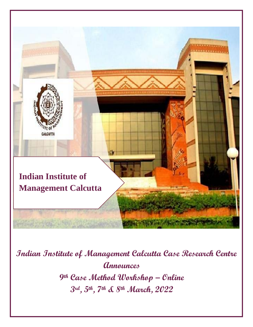

**Indian Institute of Management Calcutta Case Research Centre Announces 9th Case Method Workshop – Online 3rd , 5th , 7th & 8th March, 2022**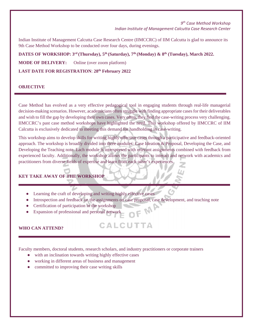Indian Institute of Management Calcutta Case Research Centre (IIMCCRC) of IIM Calcutta is glad to announce its 9th Case Method Workshop to be conducted over four days, during evenings.

**DATES OF WORKSHOP:**  $3^{rd}$  (Thursday),  $5^{th}$  (Saturday),  $7^{th}$  (Monday) &  $8^{th}$  (Tuesday), March 2022.

**MODE OF DELIVERY:** Online (over zoom platform)

**LAST DATE FOR REGISTRATION**: **28th February 2022**

### **OBJECTIVE**

Case Method has evolved as a very effective pedagogical tool in engaging students through real-life managerial decision-making scenarios. However, academicians often struggle with finding appropriate cases for their deliverables and wish to fill the gap by developing their own cases. Very often, they find the case-writing process very challenging. IIMCCRC's past case method workshops have highlighted the need. This workshop offered by IIMCCRC of IIM Calcutta is exclusively dedicated to meeting this demand for handholding in case-writing.

This workshop aims to develop skills for writing highly effective cases through a participative and feedback-oriented approach. The workshop is broadly divided into three modules: Case Ideation & Proposal, Developing the Case, and Developing the Teaching note. Each module is interspersed with relevant assignments combined with feedback from experienced faculty. Additionally, the workshop allows the participants to interact and network with academics and practitioners from diverse fields of expertise and learn from each other's experiences.

# **KEY TAKE AWAY OF THE WORKSHOP**

- Learning the craft of developing and writing highly effective cases
- Introspection and feedback on the assignments on case proposal, case development, and teaching note<br>● Certification of participation in the workshop<br>● Expansion of professional and personal actually

CALCUTTA

- Certification of participation in the workshop
- Expansion of professional and personal network

# **WHO CAN ATTEND?**

Faculty members, doctoral students, research scholars, and industry practitioners or corporate trainers

- with an inclination towards writing highly effective cases
- working in different areas of business and management
- committed to improving their case writing skills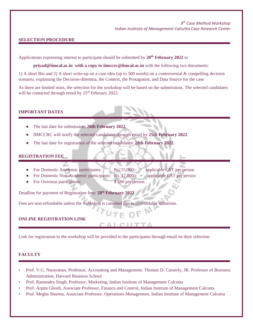# **SELECTION PROCEDURE**

Applications expressing interest to participate should be submitted by **20th February 2022** to

**[priyad@iimcal.ac.in](mailto:priyad@iimcal.ac.in) with a copy to [iimccrc@iimcal.ac.in](mailto:iimccrc@iimcal.ac.in)** with the following two documents:

1) A short Bio and 2) A short write-up on a case idea (up to 500 words) on a controversial & compelling decision scenario, explaining the Decision-dilemma, the Context, the Protagonist, and Data Source for the case

As there are limited seats, the selection for the workshop will be based on the submissions. The selected candidates will be contacted through email by  $25<sup>th</sup>$  February 2022.

**IMPORTANT DATES**

- The last date for submission: **20th February 2022**.
- IIMCCRC will notify the selected candidates through email by **25th February 2022**.
- The last date for registration of the selected candidates: 28th February 2022.

## **REGISTRATION FEE**

- For Domestic Academic participants: Rs. 15,000/- + applicable GST per person
- For Domestic Non-Academic participants: Rs. 17,000/- + applicable GST per person
- For Overseas participants: \$ 280 per person

Deadline for payment of Registration fees: **28th February 2022**

Fees are non-refundable unless the workshop is canceled due to unavoidable situations.

# **ONLINE REGISTRATION LINK**

Link for registration to the workshop will be provided to the participants through email on their selection.

## **FACULTY**

- Prof. V.G. Narayanan, Professor, Accounting and Management. Thomas D. Casserly, JR. Professor of Business Administration, Harvard Business School
- Prof. Ramendra Singh, Professor, Marketing, Indian Institute of Management Calcutta
- Prof. Arpita Ghosh, Associate Professor, Finance and Control, Indian Institute of Management Calcutta
- Prof. Megha Sharma, Associate Professor, Operations Management, Indian Institute of Management Calcutta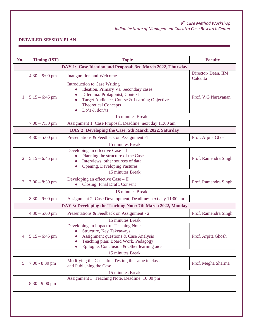# **DETAILED SESSION PLAN**

| No.                                                         | Timing (IST)     | <b>Topic</b>                                                                                                                                                                                                                                           | <b>Faculty</b>                 |  |  |  |
|-------------------------------------------------------------|------------------|--------------------------------------------------------------------------------------------------------------------------------------------------------------------------------------------------------------------------------------------------------|--------------------------------|--|--|--|
| DAY 1: Case Ideation and Proposal: 3rd March 2022, Thursday |                  |                                                                                                                                                                                                                                                        |                                |  |  |  |
|                                                             | $4:30 - 5:00$ pm | <b>Inauguration and Welcome</b>                                                                                                                                                                                                                        | Director/Dean, IIM<br>Calcutta |  |  |  |
| 1                                                           | $5:15 - 6:45$ pm | <b>Introduction to Case Writing</b><br>Ideation, Primary Vs. Secondary cases<br>$\bullet$<br>Dilemma: Protagonist, Context<br>$\bullet$<br>Target Audience, Course & Learning Objectives,<br>$\bullet$<br><b>Theoretical Concepts</b><br>Do's & don'ts | Prof. V.G Narayanan            |  |  |  |
|                                                             |                  | 15 minutes Break                                                                                                                                                                                                                                       |                                |  |  |  |
|                                                             | $7:00 - 7:30$ pm | Assignment 1: Case Proposal, Deadline: next day 11:00 am                                                                                                                                                                                               |                                |  |  |  |
|                                                             |                  | DAY 2: Developing the Case: 5th March 2022, Saturday                                                                                                                                                                                                   |                                |  |  |  |
|                                                             | $4:30 - 5:00$ pm | Presentations & Feedback on Assignment -1                                                                                                                                                                                                              | Prof. Arpita Ghosh             |  |  |  |
|                                                             |                  | 15 minutes Break                                                                                                                                                                                                                                       |                                |  |  |  |
| 2                                                           | $5:15 - 6:45$ pm | Developing an effective Case - I<br>Planning the structure of the Case<br>Interviews, other sources of data<br>$\bullet$<br><b>Opening, Developing Pastures</b><br>$\bullet$                                                                           | Prof. Ramendra Singh           |  |  |  |
|                                                             |                  | 15 minutes Break                                                                                                                                                                                                                                       |                                |  |  |  |
| 3                                                           | $7:00 - 8:30$ pm | Developing an effective Case - II<br>Closing, Final Draft, Consent                                                                                                                                                                                     | Prof. Ramendra Singh           |  |  |  |
|                                                             |                  | 15 minutes Break                                                                                                                                                                                                                                       |                                |  |  |  |
|                                                             | $8:30 - 9:00$ pm | Assignment 2: Case Development, Deadline: next day 11:00 am                                                                                                                                                                                            |                                |  |  |  |
|                                                             |                  | DAY 3: Developing the Teaching Note: 7th March 2022, Monday                                                                                                                                                                                            |                                |  |  |  |
|                                                             | $4:30 - 5:00$ pm | Presentations & Feedback on Assignment - 2                                                                                                                                                                                                             | Prof. Ramendra Singh           |  |  |  |
| 15 minutes Break                                            |                  |                                                                                                                                                                                                                                                        |                                |  |  |  |
| 4                                                           | $5:15 - 6:45$ pm | Developing an impactful Teaching Note<br><b>Structure, Key Takeaways</b><br>Assignment questions & Case Analysis<br>$\bullet$<br>Teaching plan: Board Work, Pedagogy<br>Epilogue, Conclusion & Other learning aids                                     | Prof. Arpita Ghosh             |  |  |  |
| 15 minutes Break                                            |                  |                                                                                                                                                                                                                                                        |                                |  |  |  |
| 5                                                           | $7:00 - 8:30$ pm | Modifying the Case after Testing the same in class<br>and Publishing the Case                                                                                                                                                                          | Prof. Megha Sharma             |  |  |  |
|                                                             |                  | 15 minutes Break                                                                                                                                                                                                                                       |                                |  |  |  |
|                                                             | $8:30 - 9:00$ pm | Assignment 3: Teaching Note, Deadline: 10:00 pm                                                                                                                                                                                                        |                                |  |  |  |
|                                                             |                  |                                                                                                                                                                                                                                                        |                                |  |  |  |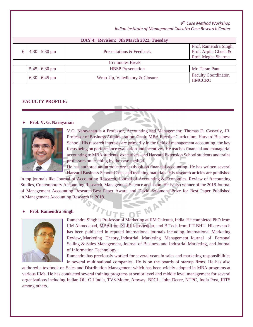# *9th Case Method Workshop*

| Indian Institute of Management Calcutta Case Research Center |  |
|--------------------------------------------------------------|--|
|--------------------------------------------------------------|--|

| DAY 4: Revision: 8th March 2022, Tuesday |                  |                                |                                                                     |  |  |  |
|------------------------------------------|------------------|--------------------------------|---------------------------------------------------------------------|--|--|--|
|                                          | $4:30 - 5:30$ pm | Presentations & Feedback       | Prof. Ramendra Singh,<br>Prof. Arpita Ghosh &<br>Prof. Megha Sharma |  |  |  |
| 15 minutes Break                         |                  |                                |                                                                     |  |  |  |
|                                          | $5:45 - 6:30$ pm | <b>HBSP</b> Presentation       | Mr. Taran Pant                                                      |  |  |  |
|                                          | $6:30 - 6:45$ pm | Wrap-Up, Valedictory & Closure | Faculty Coordinator,<br><b>IIMCCRC</b>                              |  |  |  |

#### **FACULTY PROFILE:**

## ● **Prof. V. G. Narayanan**



V.G. Narayanan is a Professor, Accounting and Management; Thomas D. Casserly, JR. Professor of Business Administration; Chair, MBA Elective Curriculum, Harvard Business School. His research interests are primarily in the field of management accounting, the key focus being on performance evaluation and incentives. He teaches financial and managerial accounting to MBA students, executives, and Harvard Extension School students and trains professors on teaching by the case method.

He has authored an introductory textbook on financial accounting. He has written several Harvard Business School Cases and teaching materials. His research articles are published

in top journals like Journal of Accounting Research, Journal of Accounting & Economics, Review of Accounting Studies, Contemporary Accounting Research, Management Science and so on. He is also winner of the 2018 Journal of Management Accounting Research Best Paper Award and David Solomons Prize for Best Paper Published in Management Accounting Research in 2018. **MAN** 

#### ● **Prof. Ramendra Singh**



Ramendra Singh is Professor of Marketing at IIM Calcutta, India. He completed PhD from IIM Ahmedabad, MBA from XLRI Jamshedpur, and B.Tech from IIT-BHU. His research has been published in reputed international journals including, International Marketing Review, Marketing Theory, Industrial Marketing Management, Journal of Personal Selling & Sales Management, Journal of Business and Industrial Marketing, and Journal of Information Technology.

Ramendra has previously worked for several years in sales and marketing responsibilities in several multinational companies. He is on the boards of startup firms. He has also

authored a textbook on Sales and Distribution Management which has been widely adopted in MBA programs at various IIMs. He has conducted several training programs at senior level and middle level management for several organizations including Indian Oil, Oil India, TVS Motor, Amway, BPCL, John Deere, NTPC, India Post, IRTS among others.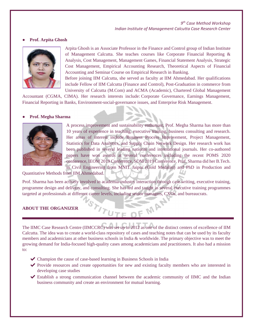## ● **Prof. Arpita Ghosh**



Arpita Ghosh is an Associate Professor in the Finance and Control group of Indian Institute of Management Calcutta. She teaches courses like Corporate Financial Reporting & Analysis, Cost Management, Management Games, Financial Statement Analysis, Strategic Cost Management, Empirical Accounting Research, Theoretical Aspects of Financial Accounting and Seminar Course on Empirical Research in Banking.

Before joining IIM Calcutta, she served as faculty at IIM Ahmedabad. Her qualifications include Fellow of IIM Calcutta (Finance and Control), Post-Graduation in commerce from University of Calcutta (M.Com) and ACMA (Academic), Chartered Global Management

Accountant (CGMA, CIMA). Her research interests include: Corporate Governance, Earnings Management, Financial Reporting in Banks, Environment-social-governance issues, and Enterprise Risk Management.

#### ● **Prof. Megha Sharma**



A process improvement and sustainability enthusiast, Prof. Megha Sharma has more than 10 years of experience in teaching, executive training, business consulting and research. Her areas of interest include Business Process Improvement, Project Management, Statistics for Data Analytics, and Supply Chain Network Design. Her research work has been published in several leading national and international journals. Her co-authored papers have won awards at several conferences including the recent POMS 2020 conference, IEOM 2019 Conference, SOM 2019 Conference. Prof. Sharma did her B.Tech. in Civil Engineering from MNIT Jaipur (Gold Medalist) and PhD in Production and

OF MAN

## Quantitative Methods from IIM Ahmedabad.

Prof. Sharma has been actively involved in academia-industry interaction through case writing, executive training, programme design and delivery, and consulting. She has led and taught in several executive training programmes targeted at professionals at different career levels, including senior managers, CXOs, and bureaucrats.

#### **ABOUT THE ORGANIZER**

The IIMC Case Research Centre (IIMCCRC) was set up in 2012 as one of the distinct centers of excellence of IIM Calcutta. The idea was to create a world-class repository of cases and teaching notes that can be used by its faculty members and academicians at other business schools in India & worldwide. The primary objective was to meet the growing demand for India-focused high-quality cases among academicians and practitioners. It also had a mission to:

✔ Champion the cause of case-based learning in Business Schools in India

TITUT

- ✔ Provide resources and create opportunities for new and existing faculty members who are interested in developing case studies
- ✔ Establish a strong communication channel between the academic community of IIMC and the Indian business community and create an environment for mutual learning.